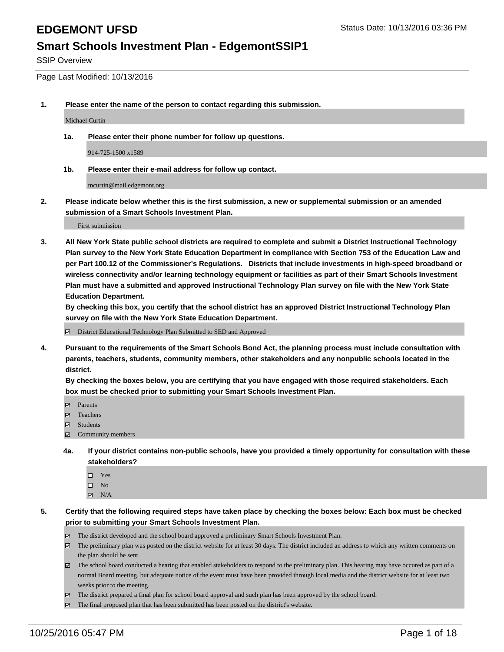SSIP Overview

Page Last Modified: 10/13/2016

**1. Please enter the name of the person to contact regarding this submission.**

Michael Curtin

**1a. Please enter their phone number for follow up questions.**

914-725-1500 x1589

**1b. Please enter their e-mail address for follow up contact.**

mcurtin@mail.edgemont.org

**2. Please indicate below whether this is the first submission, a new or supplemental submission or an amended submission of a Smart Schools Investment Plan.**

First submission

**3. All New York State public school districts are required to complete and submit a District Instructional Technology Plan survey to the New York State Education Department in compliance with Section 753 of the Education Law and per Part 100.12 of the Commissioner's Regulations. Districts that include investments in high-speed broadband or wireless connectivity and/or learning technology equipment or facilities as part of their Smart Schools Investment Plan must have a submitted and approved Instructional Technology Plan survey on file with the New York State Education Department.** 

**By checking this box, you certify that the school district has an approved District Instructional Technology Plan survey on file with the New York State Education Department.**

District Educational Technology Plan Submitted to SED and Approved

**4. Pursuant to the requirements of the Smart Schools Bond Act, the planning process must include consultation with parents, teachers, students, community members, other stakeholders and any nonpublic schools located in the district.** 

**By checking the boxes below, you are certifying that you have engaged with those required stakeholders. Each box must be checked prior to submitting your Smart Schools Investment Plan.**

- Parents
- Teachers
- $\boxtimes$  Students
- Community members
- **4a. If your district contains non-public schools, have you provided a timely opportunity for consultation with these stakeholders?**
	- $\Box$  Yes  $\square$  No
	- $\boxtimes$  N/A
- **5. Certify that the following required steps have taken place by checking the boxes below: Each box must be checked prior to submitting your Smart Schools Investment Plan.**
	- The district developed and the school board approved a preliminary Smart Schools Investment Plan.
	- The preliminary plan was posted on the district website for at least 30 days. The district included an address to which any written comments on the plan should be sent.
	- $\boxtimes$  The school board conducted a hearing that enabled stakeholders to respond to the preliminary plan. This hearing may have occured as part of a normal Board meeting, but adequate notice of the event must have been provided through local media and the district website for at least two weeks prior to the meeting.
	- The district prepared a final plan for school board approval and such plan has been approved by the school board.
	- $\boxtimes$  The final proposed plan that has been submitted has been posted on the district's website.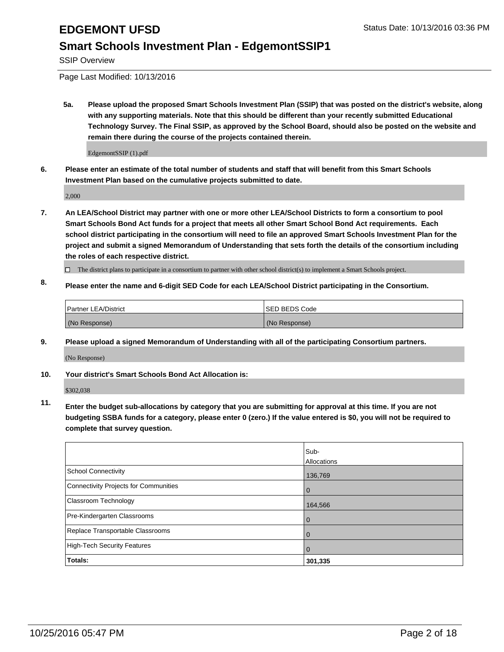SSIP Overview

Page Last Modified: 10/13/2016

**5a. Please upload the proposed Smart Schools Investment Plan (SSIP) that was posted on the district's website, along with any supporting materials. Note that this should be different than your recently submitted Educational Technology Survey. The Final SSIP, as approved by the School Board, should also be posted on the website and remain there during the course of the projects contained therein.**

EdgemontSSIP (1).pdf

**6. Please enter an estimate of the total number of students and staff that will benefit from this Smart Schools Investment Plan based on the cumulative projects submitted to date.**

2,000

- **7. An LEA/School District may partner with one or more other LEA/School Districts to form a consortium to pool Smart Schools Bond Act funds for a project that meets all other Smart School Bond Act requirements. Each school district participating in the consortium will need to file an approved Smart Schools Investment Plan for the project and submit a signed Memorandum of Understanding that sets forth the details of the consortium including the roles of each respective district.**
	- $\Box$  The district plans to participate in a consortium to partner with other school district(s) to implement a Smart Schools project.
- **8. Please enter the name and 6-digit SED Code for each LEA/School District participating in the Consortium.**

| Partner LEA/District | <b>ISED BEDS Code</b> |
|----------------------|-----------------------|
| (No Response)        | (No Response)         |

**9. Please upload a signed Memorandum of Understanding with all of the participating Consortium partners.**

(No Response)

### **10. Your district's Smart Schools Bond Act Allocation is:**

\$302,038

**11. Enter the budget sub-allocations by category that you are submitting for approval at this time. If you are not budgeting SSBA funds for a category, please enter 0 (zero.) If the value entered is \$0, you will not be required to complete that survey question.**

|                                       | Sub-        |
|---------------------------------------|-------------|
|                                       | Allocations |
| <b>School Connectivity</b>            | 136,769     |
| Connectivity Projects for Communities | $\Omega$    |
| <b>Classroom Technology</b>           | 164,566     |
| Pre-Kindergarten Classrooms           | $\Omega$    |
| Replace Transportable Classrooms      | $\Omega$    |
| High-Tech Security Features           | $\Omega$    |
| Totals:                               | 301,335     |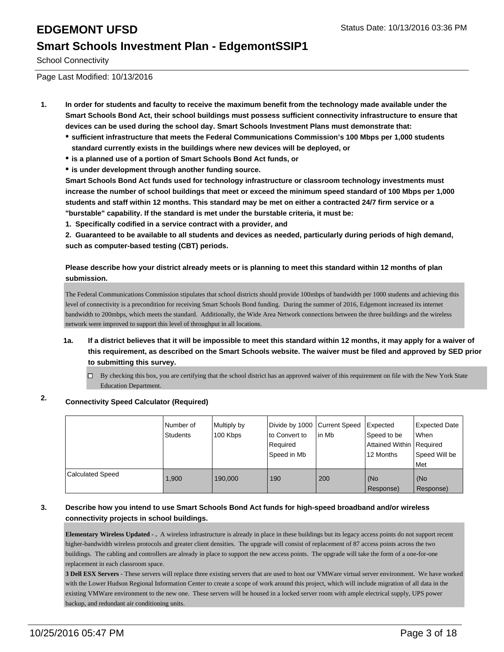School Connectivity

Page Last Modified: 10/13/2016

- **1. In order for students and faculty to receive the maximum benefit from the technology made available under the Smart Schools Bond Act, their school buildings must possess sufficient connectivity infrastructure to ensure that devices can be used during the school day. Smart Schools Investment Plans must demonstrate that:**
	- **sufficient infrastructure that meets the Federal Communications Commission's 100 Mbps per 1,000 students standard currently exists in the buildings where new devices will be deployed, or**
	- **is a planned use of a portion of Smart Schools Bond Act funds, or**
	- **is under development through another funding source.**

**Smart Schools Bond Act funds used for technology infrastructure or classroom technology investments must increase the number of school buildings that meet or exceed the minimum speed standard of 100 Mbps per 1,000 students and staff within 12 months. This standard may be met on either a contracted 24/7 firm service or a "burstable" capability. If the standard is met under the burstable criteria, it must be:**

**1. Specifically codified in a service contract with a provider, and**

**2. Guaranteed to be available to all students and devices as needed, particularly during periods of high demand, such as computer-based testing (CBT) periods.**

### **Please describe how your district already meets or is planning to meet this standard within 12 months of plan submission.**

The Federal Communications Commission stipulates that school districts should provide 100mbps of bandwidth per 1000 students and achieving this level of connectivity is a precondition for receiving Smart Schools Bond funding. During the summer of 2016, Edgemont increased its internet bandwidth to 200mbps, which meets the standard. Additionally, the Wide Area Network connections between the three buildings and the wireless network were improved to support this level of throughput in all locations.

- **1a. If a district believes that it will be impossible to meet this standard within 12 months, it may apply for a waiver of this requirement, as described on the Smart Schools website. The waiver must be filed and approved by SED prior to submitting this survey.**
	- $\Box$  By checking this box, you are certifying that the school district has an approved waiver of this requirement on file with the New York State Education Department.

### **2. Connectivity Speed Calculator (Required)**

|                         | Number of<br><b>Students</b> | Multiply by<br>100 Kbps | Divide by 1000 Current Speed<br>to Convert to<br>Required<br>Speed in Mb | lin Mb | Expected<br>Speed to be<br>Attained Within Required<br>12 Months | <b>Expected Date</b><br><b>When</b><br>Speed Will be<br><b>Met</b> |
|-------------------------|------------------------------|-------------------------|--------------------------------------------------------------------------|--------|------------------------------------------------------------------|--------------------------------------------------------------------|
| <b>Calculated Speed</b> | 1.900                        | 190,000                 | 190                                                                      | 200    | (No<br>Response)                                                 | l (No<br>Response)                                                 |

### **3. Describe how you intend to use Smart Schools Bond Act funds for high-speed broadband and/or wireless connectivity projects in school buildings.**

**Elementary Wireless Updated - .** A wireless infrastructure is already in place in these buildings but its legacy access points do not support recent higher-bandwidth wireless protocols and greater client densities. The upgrade will consist of replacement of 87 access points across the two buildings. The cabling and controllers are already in place to support the new access points. The upgrade will take the form of a one-for-one replacement in each classroom space.

**3 Dell ESX Servers** - These servers will replace three existing servers that are used to host our VMWare virtual server environment. We have worked with the Lower Hudson Regional Information Center to create a scope of work around this project, which will include migration of all data in the existing VMWare environment to the new one. These servers will be housed in a locked server room with ample electrical supply, UPS power backup, and redundant air conditioning units.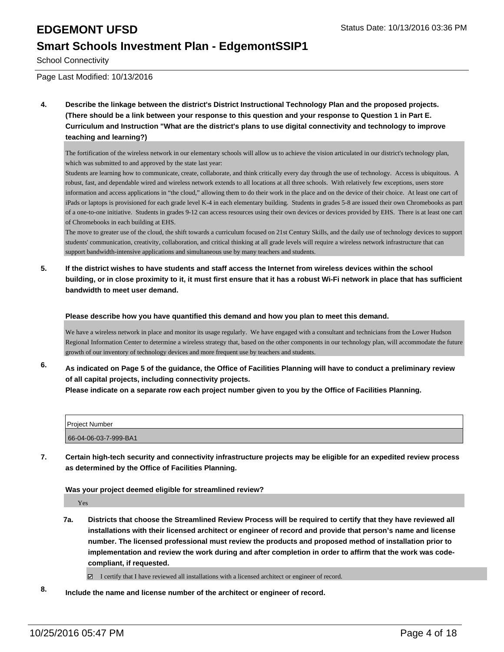School Connectivity

Page Last Modified: 10/13/2016

**4. Describe the linkage between the district's District Instructional Technology Plan and the proposed projects. (There should be a link between your response to this question and your response to Question 1 in Part E. Curriculum and Instruction "What are the district's plans to use digital connectivity and technology to improve teaching and learning?)**

The fortification of the wireless network in our elementary schools will allow us to achieve the vision articulated in our district's technology plan, which was submitted to and approved by the state last year:

Students are learning how to communicate, create, collaborate, and think critically every day through the use of technology. Access is ubiquitous. A robust, fast, and dependable wired and wireless network extends to all locations at all three schools. With relatively few exceptions, users store information and access applications in "the cloud," allowing them to do their work in the place and on the device of their choice. At least one cart of iPads or laptops is provisioned for each grade level K-4 in each elementary building. Students in grades 5-8 are issued their own Chromebooks as part of a one-to-one initiative. Students in grades 9-12 can access resources using their own devices or devices provided by EHS. There is at least one cart of Chromebooks in each building at EHS.

The move to greater use of the cloud, the shift towards a curriculum focused on 21st Century Skills, and the daily use of technology devices to support students' communication, creativity, collaboration, and critical thinking at all grade levels will require a wireless network infrastructure that can support bandwidth-intensive applications and simultaneous use by many teachers and students.

**5. If the district wishes to have students and staff access the Internet from wireless devices within the school building, or in close proximity to it, it must first ensure that it has a robust Wi-Fi network in place that has sufficient bandwidth to meet user demand.**

**Please describe how you have quantified this demand and how you plan to meet this demand.**

We have a wireless network in place and monitor its usage regularly. We have engaged with a consultant and technicians from the Lower Hudson Regional Information Center to determine a wireless strategy that, based on the other components in our technology plan, will accommodate the future growth of our inventory of technology devices and more frequent use by teachers and students.

**6. As indicated on Page 5 of the guidance, the Office of Facilities Planning will have to conduct a preliminary review of all capital projects, including connectivity projects.**

**Please indicate on a separate row each project number given to you by the Office of Facilities Planning.**

| Project Number        |  |
|-----------------------|--|
| 66-04-06-03-7-999-BA1 |  |

**7. Certain high-tech security and connectivity infrastructure projects may be eligible for an expedited review process as determined by the Office of Facilities Planning.**

### **Was your project deemed eligible for streamlined review?**

Yes

**7a. Districts that choose the Streamlined Review Process will be required to certify that they have reviewed all installations with their licensed architect or engineer of record and provide that person's name and license number. The licensed professional must review the products and proposed method of installation prior to implementation and review the work during and after completion in order to affirm that the work was codecompliant, if requested.**

 $\boxtimes$  I certify that I have reviewed all installations with a licensed architect or engineer of record.

**8. Include the name and license number of the architect or engineer of record.**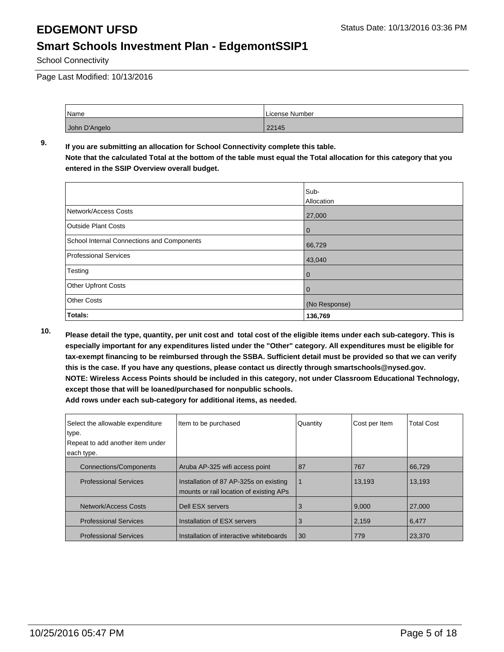School Connectivity

Page Last Modified: 10/13/2016

| Name          | License Number |
|---------------|----------------|
| John D'Angelo | 22145          |

### **9. If you are submitting an allocation for School Connectivity complete this table. Note that the calculated Total at the bottom of the table must equal the Total allocation for this category that you entered in the SSIP Overview overall budget.**

|                                            | Sub-<br>Allocation |
|--------------------------------------------|--------------------|
| Network/Access Costs                       | 27,000             |
| <b>Outside Plant Costs</b>                 | $\mathbf 0$        |
| School Internal Connections and Components | 66,729             |
| Professional Services                      | 43,040             |
| Testing                                    | $\mathbf 0$        |
| <b>Other Upfront Costs</b>                 | 0                  |
| <b>Other Costs</b>                         | (No Response)      |
| Totals:                                    | 136,769            |

**10. Please detail the type, quantity, per unit cost and total cost of the eligible items under each sub-category. This is especially important for any expenditures listed under the "Other" category. All expenditures must be eligible for tax-exempt financing to be reimbursed through the SSBA. Sufficient detail must be provided so that we can verify this is the case. If you have any questions, please contact us directly through smartschools@nysed.gov. NOTE: Wireless Access Points should be included in this category, not under Classroom Educational Technology, except those that will be loaned/purchased for nonpublic schools.**

| Select the allowable expenditure | Item to be purchased                                                              | Quantity | Cost per Item | <b>Total Cost</b> |
|----------------------------------|-----------------------------------------------------------------------------------|----------|---------------|-------------------|
| type.                            |                                                                                   |          |               |                   |
| Repeat to add another item under |                                                                                   |          |               |                   |
| each type.                       |                                                                                   |          |               |                   |
| <b>Connections/Components</b>    | Aruba AP-325 wifi access point                                                    | 87       | 767           | 66,729            |
| <b>Professional Services</b>     | Installation of 87 AP-325s on existing<br>mounts or rail location of existing APs | 1        | 13.193        | 13,193            |
| Network/Access Costs             | Dell ESX servers                                                                  | 3        | 9.000         | 27,000            |
| <b>Professional Services</b>     | Installation of ESX servers                                                       | 3        | 2,159         | 6,477             |
| <b>Professional Services</b>     | Installation of interactive whiteboards                                           | 30       | 779           | 23,370            |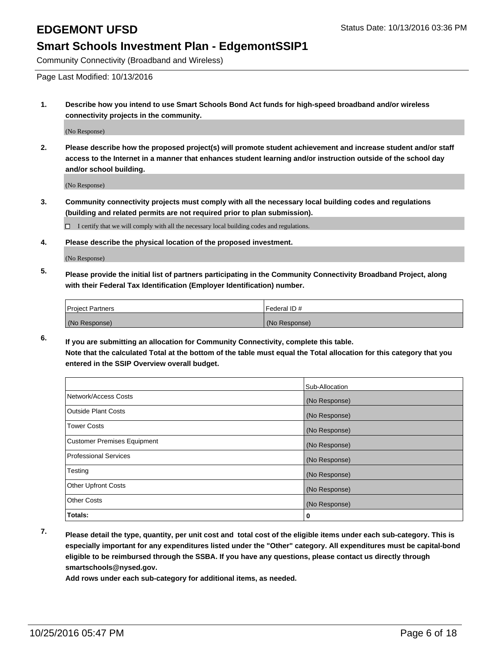Community Connectivity (Broadband and Wireless)

Page Last Modified: 10/13/2016

**1. Describe how you intend to use Smart Schools Bond Act funds for high-speed broadband and/or wireless connectivity projects in the community.**

(No Response)

**2. Please describe how the proposed project(s) will promote student achievement and increase student and/or staff access to the Internet in a manner that enhances student learning and/or instruction outside of the school day and/or school building.**

(No Response)

**3. Community connectivity projects must comply with all the necessary local building codes and regulations (building and related permits are not required prior to plan submission).**

 $\Box$  I certify that we will comply with all the necessary local building codes and regulations.

**4. Please describe the physical location of the proposed investment.**

(No Response)

**5. Please provide the initial list of partners participating in the Community Connectivity Broadband Project, along with their Federal Tax Identification (Employer Identification) number.**

| <b>Project Partners</b> | Federal ID#   |
|-------------------------|---------------|
| (No Response)           | (No Response) |

**6. If you are submitting an allocation for Community Connectivity, complete this table. Note that the calculated Total at the bottom of the table must equal the Total allocation for this category that you entered in the SSIP Overview overall budget.**

|                                    | Sub-Allocation |
|------------------------------------|----------------|
| Network/Access Costs               | (No Response)  |
| <b>Outside Plant Costs</b>         | (No Response)  |
| Tower Costs                        | (No Response)  |
| <b>Customer Premises Equipment</b> | (No Response)  |
| <b>Professional Services</b>       | (No Response)  |
| Testing                            | (No Response)  |
| <b>Other Upfront Costs</b>         | (No Response)  |
| <b>Other Costs</b>                 | (No Response)  |
| Totals:                            | 0              |

**7. Please detail the type, quantity, per unit cost and total cost of the eligible items under each sub-category. This is especially important for any expenditures listed under the "Other" category. All expenditures must be capital-bond eligible to be reimbursed through the SSBA. If you have any questions, please contact us directly through smartschools@nysed.gov.**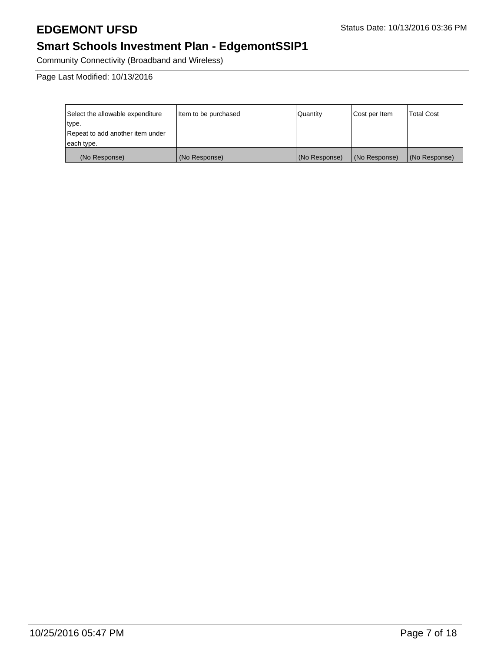# **EDGEMONT UFSD** Status Date: 10/13/2016 03:36 PM

# **Smart Schools Investment Plan - EdgemontSSIP1**

Community Connectivity (Broadband and Wireless)

Page Last Modified: 10/13/2016

| Select the allowable expenditure | litem to be purchased | Quantity      | Cost per Item | Total Cost    |
|----------------------------------|-----------------------|---------------|---------------|---------------|
| type.                            |                       |               |               |               |
| Repeat to add another item under |                       |               |               |               |
| each type.                       |                       |               |               |               |
| (No Response)                    | (No Response)         | (No Response) | (No Response) | (No Response) |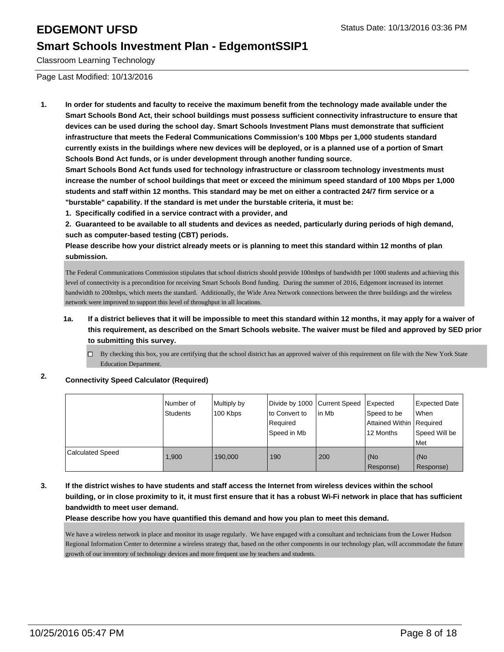Classroom Learning Technology

Page Last Modified: 10/13/2016

**1. In order for students and faculty to receive the maximum benefit from the technology made available under the Smart Schools Bond Act, their school buildings must possess sufficient connectivity infrastructure to ensure that devices can be used during the school day. Smart Schools Investment Plans must demonstrate that sufficient infrastructure that meets the Federal Communications Commission's 100 Mbps per 1,000 students standard currently exists in the buildings where new devices will be deployed, or is a planned use of a portion of Smart Schools Bond Act funds, or is under development through another funding source.**

**Smart Schools Bond Act funds used for technology infrastructure or classroom technology investments must increase the number of school buildings that meet or exceed the minimum speed standard of 100 Mbps per 1,000 students and staff within 12 months. This standard may be met on either a contracted 24/7 firm service or a "burstable" capability. If the standard is met under the burstable criteria, it must be:**

**1. Specifically codified in a service contract with a provider, and**

**2. Guaranteed to be available to all students and devices as needed, particularly during periods of high demand, such as computer-based testing (CBT) periods.**

**Please describe how your district already meets or is planning to meet this standard within 12 months of plan submission.**

The Federal Communications Commission stipulates that school districts should provide 100mbps of bandwidth per 1000 students and achieving this level of connectivity is a precondition for receiving Smart Schools Bond funding. During the summer of 2016, Edgemont increased its internet bandwidth to 200mbps, which meets the standard. Additionally, the Wide Area Network connections between the three buildings and the wireless network were improved to support this level of throughput in all locations.

### **1a. If a district believes that it will be impossible to meet this standard within 12 months, it may apply for a waiver of this requirement, as described on the Smart Schools website. The waiver must be filed and approved by SED prior to submitting this survey.**

By checking this box, you are certifying that the school district has an approved waiver of this requirement on file with the New York State  $\Box$ Education Department.

### **2. Connectivity Speed Calculator (Required)**

|                         | Number of<br><b>Students</b> | Multiply by<br>100 Kbps | Divide by 1000 Current Speed<br>to Convert to<br>Required<br>Sbeed in Mb | lin Mb | Expected<br>Speed to be<br>Attained Within   Required<br>12 Months | Expected Date<br>l When<br>Speed Will be<br>Met |
|-------------------------|------------------------------|-------------------------|--------------------------------------------------------------------------|--------|--------------------------------------------------------------------|-------------------------------------------------|
| <b>Calculated Speed</b> | 1.900                        | 190,000                 | 190                                                                      | 200    | (No<br>Response)                                                   | (No<br>Response)                                |

### **3. If the district wishes to have students and staff access the Internet from wireless devices within the school building, or in close proximity to it, it must first ensure that it has a robust Wi-Fi network in place that has sufficient bandwidth to meet user demand.**

**Please describe how you have quantified this demand and how you plan to meet this demand.**

We have a wireless network in place and monitor its usage regularly. We have engaged with a consultant and technicians from the Lower Hudson Regional Information Center to determine a wireless strategy that, based on the other components in our technology plan, will accommodate the future growth of our inventory of technology devices and more frequent use by teachers and students.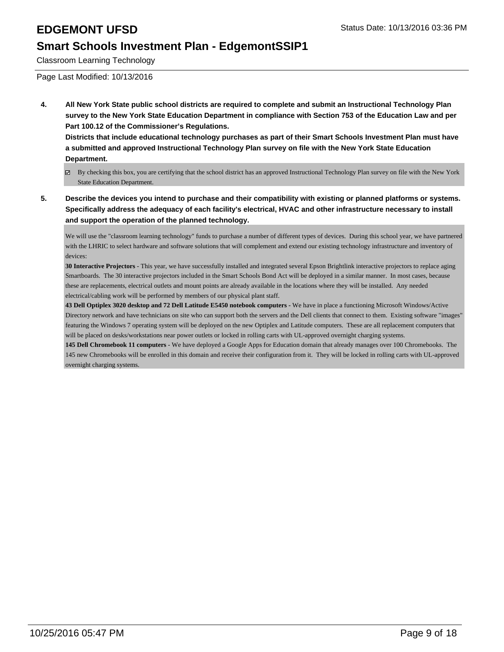Classroom Learning Technology

Page Last Modified: 10/13/2016

**4. All New York State public school districts are required to complete and submit an Instructional Technology Plan survey to the New York State Education Department in compliance with Section 753 of the Education Law and per Part 100.12 of the Commissioner's Regulations.**

**Districts that include educational technology purchases as part of their Smart Schools Investment Plan must have a submitted and approved Instructional Technology Plan survey on file with the New York State Education Department.**

- By checking this box, you are certifying that the school district has an approved Instructional Technology Plan survey on file with the New York State Education Department.
- **5. Describe the devices you intend to purchase and their compatibility with existing or planned platforms or systems. Specifically address the adequacy of each facility's electrical, HVAC and other infrastructure necessary to install and support the operation of the planned technology.**

We will use the "classroom learning technology" funds to purchase a number of different types of devices. During this school year, we have partnered with the LHRIC to select hardware and software solutions that will complement and extend our existing technology infrastructure and inventory of devices:

**30 Interactive Projectors** - This year, we have successfully installed and integrated several Epson Brightlink interactive projectors to replace aging Smartboards. The 30 interactive projectors included in the Smart Schools Bond Act will be deployed in a similar manner. In most cases, because these are replacements, electrical outlets and mount points are already available in the locations where they will be installed. Any needed electrical/cabling work will be performed by members of our physical plant staff.

**43 Dell Optiplex 3020 desktop and 72 Dell Latitude E5450 notebook computers -** We have in place a functioning Microsoft Windows/Active Directory network and have technicians on site who can support both the servers and the Dell clients that connect to them. Existing software "images" featuring the Windows 7 operating system will be deployed on the new Optiplex and Latitude computers. These are all replacement computers that will be placed on desks/workstations near power outlets or locked in rolling carts with UL-approved overnight charging systems.

**145 Dell Chromebook 11 computers** - We have deployed a Google Apps for Education domain that already manages over 100 Chromebooks. The 145 new Chromebooks will be enrolled in this domain and receive their configuration from it. They will be locked in rolling carts with UL-approved overnight charging systems.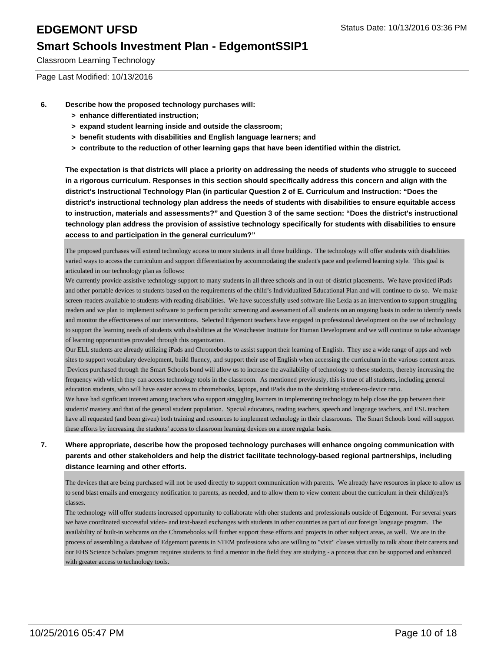Classroom Learning Technology

Page Last Modified: 10/13/2016

- **6. Describe how the proposed technology purchases will:**
	- **> enhance differentiated instruction;**
	- **> expand student learning inside and outside the classroom;**
	- **> benefit students with disabilities and English language learners; and**
	- **> contribute to the reduction of other learning gaps that have been identified within the district.**

**The expectation is that districts will place a priority on addressing the needs of students who struggle to succeed in a rigorous curriculum. Responses in this section should specifically address this concern and align with the district's Instructional Technology Plan (in particular Question 2 of E. Curriculum and Instruction: "Does the district's instructional technology plan address the needs of students with disabilities to ensure equitable access to instruction, materials and assessments?" and Question 3 of the same section: "Does the district's instructional technology plan address the provision of assistive technology specifically for students with disabilities to ensure access to and participation in the general curriculum?"**

The proposed purchases will extend technology access to more students in all three buildings. The technology will offer students with disabilities varied ways to access the curriculum and support differentiation by accommodating the student's pace and preferred learning style. This goal is articulated in our technology plan as follows:

We currently provide assistive technology support to many students in all three schools and in out-of-district placements. We have provided iPads and other portable devices to students based on the requirements of the child's Individualized Educational Plan and will continue to do so. We make screen-readers available to students with reading disabilities. We have successfully used software like Lexia as an intervention to support struggling readers and we plan to implement software to perform periodic screening and assessment of all students on an ongoing basis in order to identify needs and monitor the effectiveness of our interventions. Selected Edgemont teachers have engaged in professional development on the use of technology to support the learning needs of students with disabilities at the Westchester Institute for Human Development and we will continue to take advantage of learning opportunities provided through this organization.

Our ELL students are already utilizing iPads and Chromebooks to assist support their learning of English. They use a wide range of apps and web sites to support vocabulary development, build fluency, and support their use of English when accessing the curriculum in the various content areas. Devices purchased through the Smart Schools bond will allow us to increase the availability of technology to these students, thereby increasing the frequency with which they can access technology tools in the classroom. As mentioned previously, this is true of all students, including general education students, who will have easier access to chromebooks, laptops, and iPads due to the shrinking student-to-device ratio.

We have had signficant interest among teachers who support struggling learners in implementing technology to help close the gap between their students' mastery and that of the general student population. Special educators, reading teachers, speech and language teachers, and ESL teachers have all requested (and been given) both training and resources to implement technology in their classrooms. The Smart Schools bond will support these efforts by increasing the students' access to classroom learning devices on a more regular basis.

### **7. Where appropriate, describe how the proposed technology purchases will enhance ongoing communication with parents and other stakeholders and help the district facilitate technology-based regional partnerships, including distance learning and other efforts.**

The devices that are being purchased will not be used directly to support communication with parents. We already have resources in place to allow us to send blast emails and emergency notification to parents, as needed, and to allow them to view content about the curriculum in their child(ren)'s classes.

The technology will offer students increased opportunity to collaborate with oher students and professionals outside of Edgemont. For several years we have coordinated successful video- and text-based exchanges with students in other countries as part of our foreign language program. The availability of built-in webcams on the Chromebooks will further support these efforts and projects in other subject areas, as well. We are in the process of assembling a database of Edgemont parents in STEM professions who are willing to "visit" classes virtually to talk about their careers and our EHS Science Scholars program requires students to find a mentor in the field they are studying - a process that can be supported and enhanced with greater access to technology tools.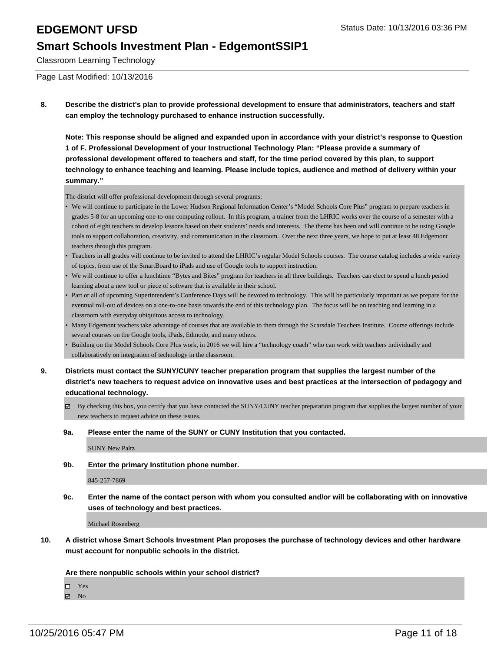Classroom Learning Technology

Page Last Modified: 10/13/2016

**8. Describe the district's plan to provide professional development to ensure that administrators, teachers and staff can employ the technology purchased to enhance instruction successfully.**

**Note: This response should be aligned and expanded upon in accordance with your district's response to Question 1 of F. Professional Development of your Instructional Technology Plan: "Please provide a summary of professional development offered to teachers and staff, for the time period covered by this plan, to support technology to enhance teaching and learning. Please include topics, audience and method of delivery within your summary."**

The district will offer professional development through several programs:

- We will continue to participate in the Lower Hudson Regional Information Center's "Model Schools Core Plus" program to prepare teachers in grades 5-8 for an upcoming one-to-one computing rollout. In this program, a trainer from the LHRIC works over the course of a semester with a cohort of eight teachers to develop lessons based on their students' needs and interests. The theme has been and will continue to be using Google tools to support collaboration, creativity, and communication in the classroom. Over the next three years, we hope to put at least 48 Edgemont teachers through this program.
- Teachers in all grades will continue to be invited to attend the LHRIC's regular Model Schools courses. The course catalog includes a wide variety of topics, from use of the SmartBoard to iPads and use of Google tools to support instruction. •
- We will continue to offer a lunchtime "Bytes and Bites" program for teachers in all three buildings. Teachers can elect to spend a lunch period learning about a new tool or piece of software that is available in their school. •
- Part or all of upcoming Superintendent's Conference Days will be devoted to technology. This will be particularly important as we prepare for the eventual roll-out of devices on a one-to-one basis towards the end of this technology plan. The focus will be on teaching and learning in a classroom with everyday ubiquitous access to technology. •
- Many Edgemont teachers take advantage of courses that are available to them through the Scarsdale Teachers Institute. Course offerings include several courses on the Google tools, iPads, Edmodo, and many others.
- Building on the Model Schools Core Plus work, in 2016 we will hire a "technology coach" who can work with teachers individually and collaboratively on integration of technology in the classroom. •
- **9. Districts must contact the SUNY/CUNY teacher preparation program that supplies the largest number of the district's new teachers to request advice on innovative uses and best practices at the intersection of pedagogy and educational technology.**
	- By checking this box, you certify that you have contacted the SUNY/CUNY teacher preparation program that supplies the largest number of your new teachers to request advice on these issues.

### **9a. Please enter the name of the SUNY or CUNY Institution that you contacted.**

SUNY New Paltz

**9b. Enter the primary Institution phone number.**

845-257-7869

**9c. Enter the name of the contact person with whom you consulted and/or will be collaborating with on innovative uses of technology and best practices.**

Michael Rosenberg

**10. A district whose Smart Schools Investment Plan proposes the purchase of technology devices and other hardware must account for nonpublic schools in the district.**

**Are there nonpublic schools within your school district?**

Yes

 $\boxtimes$  No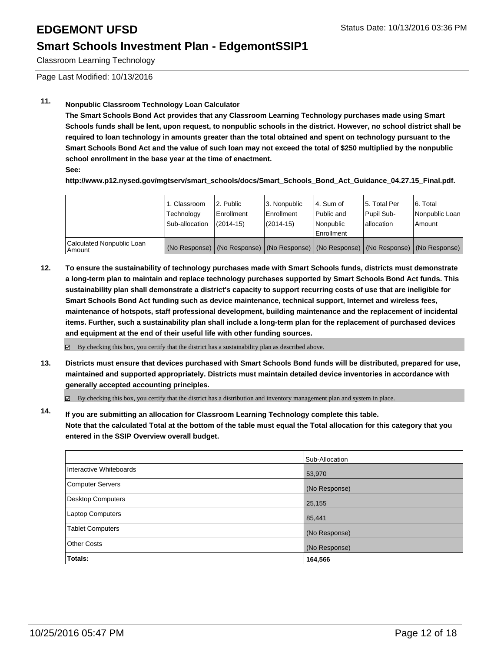Classroom Learning Technology

Page Last Modified: 10/13/2016

### **11. Nonpublic Classroom Technology Loan Calculator**

**The Smart Schools Bond Act provides that any Classroom Learning Technology purchases made using Smart Schools funds shall be lent, upon request, to nonpublic schools in the district. However, no school district shall be required to loan technology in amounts greater than the total obtained and spent on technology pursuant to the Smart Schools Bond Act and the value of such loan may not exceed the total of \$250 multiplied by the nonpublic school enrollment in the base year at the time of enactment.**

**See:**

**http://www.p12.nysed.gov/mgtserv/smart\_schools/docs/Smart\_Schools\_Bond\_Act\_Guidance\_04.27.15\_Final.pdf.**

|                                     | 1. Classroom<br>Technology<br>Sub-allocation | 2. Public<br><b>Enrollment</b><br>$(2014 - 15)$ | 3. Nonpublic<br>Enrollment<br>$(2014 - 15)$                                                   | l 4. Sum of<br>l Public and<br>Nonpublic<br>Enrollment | 5. Total Per<br>Pupil Sub-<br>lallocation | 6. Total<br>Nonpublic Loan<br>Amount |
|-------------------------------------|----------------------------------------------|-------------------------------------------------|-----------------------------------------------------------------------------------------------|--------------------------------------------------------|-------------------------------------------|--------------------------------------|
| Calculated Nonpublic Loan<br>Amount |                                              |                                                 | (No Response)   (No Response)   (No Response)   (No Response)   (No Response)   (No Response) |                                                        |                                           |                                      |

**12. To ensure the sustainability of technology purchases made with Smart Schools funds, districts must demonstrate a long-term plan to maintain and replace technology purchases supported by Smart Schools Bond Act funds. This sustainability plan shall demonstrate a district's capacity to support recurring costs of use that are ineligible for Smart Schools Bond Act funding such as device maintenance, technical support, Internet and wireless fees, maintenance of hotspots, staff professional development, building maintenance and the replacement of incidental items. Further, such a sustainability plan shall include a long-term plan for the replacement of purchased devices and equipment at the end of their useful life with other funding sources.**

**⊠** By checking this box, you certify that the district has a sustainability plan as described above.

**13. Districts must ensure that devices purchased with Smart Schools Bond funds will be distributed, prepared for use, maintained and supported appropriately. Districts must maintain detailed device inventories in accordance with generally accepted accounting principles.**

By checking this box, you certify that the district has a distribution and inventory management plan and system in place.

**14. If you are submitting an allocation for Classroom Learning Technology complete this table. Note that the calculated Total at the bottom of the table must equal the Total allocation for this category that you entered in the SSIP Overview overall budget.**

|                          | Sub-Allocation |
|--------------------------|----------------|
| Interactive Whiteboards  | 53,970         |
| <b>Computer Servers</b>  | (No Response)  |
| <b>Desktop Computers</b> | 25,155         |
| Laptop Computers         | 85,441         |
| <b>Tablet Computers</b>  | (No Response)  |
| <b>Other Costs</b>       | (No Response)  |
| Totals:                  | 164,566        |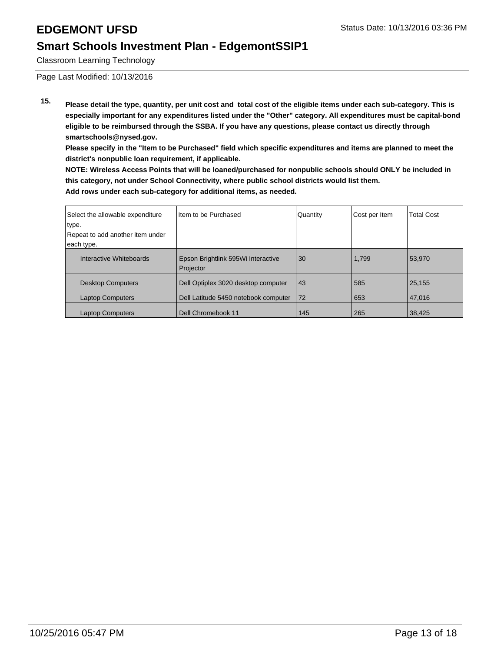Classroom Learning Technology

Page Last Modified: 10/13/2016

**15. Please detail the type, quantity, per unit cost and total cost of the eligible items under each sub-category. This is especially important for any expenditures listed under the "Other" category. All expenditures must be capital-bond eligible to be reimbursed through the SSBA. If you have any questions, please contact us directly through smartschools@nysed.gov.**

**Please specify in the "Item to be Purchased" field which specific expenditures and items are planned to meet the district's nonpublic loan requirement, if applicable.**

**NOTE: Wireless Access Points that will be loaned/purchased for nonpublic schools should ONLY be included in this category, not under School Connectivity, where public school districts would list them. Add rows under each sub-category for additional items, as needed.**

| Select the allowable expenditure<br>type. | Item to be Purchased                            | Quantity | Cost per Item | <b>Total Cost</b> |
|-------------------------------------------|-------------------------------------------------|----------|---------------|-------------------|
| Repeat to add another item under          |                                                 |          |               |                   |
| each type.                                |                                                 |          |               |                   |
| Interactive Whiteboards                   | Epson Brightlink 595Wi Interactive<br>Projector | 30       | 1,799         | 53.970            |
| <b>Desktop Computers</b>                  | Dell Optiplex 3020 desktop computer             | 43       | 585           | 25.155            |
| <b>Laptop Computers</b>                   | Dell Latitude 5450 notebook computer            | 72       | 653           | 47,016            |
| <b>Laptop Computers</b>                   | Dell Chromebook 11                              | 145      | 265           | 38,425            |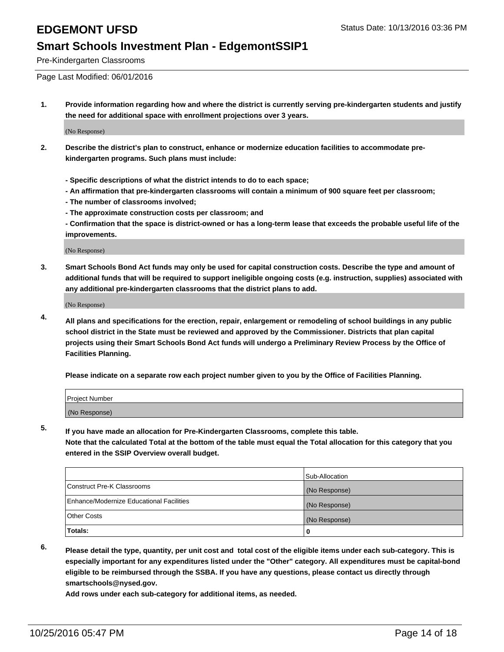Pre-Kindergarten Classrooms

Page Last Modified: 06/01/2016

**1. Provide information regarding how and where the district is currently serving pre-kindergarten students and justify the need for additional space with enrollment projections over 3 years.**

(No Response)

- **2. Describe the district's plan to construct, enhance or modernize education facilities to accommodate prekindergarten programs. Such plans must include:**
	- **Specific descriptions of what the district intends to do to each space;**
	- **An affirmation that pre-kindergarten classrooms will contain a minimum of 900 square feet per classroom;**
	- **The number of classrooms involved;**
	- **The approximate construction costs per classroom; and**
	- **Confirmation that the space is district-owned or has a long-term lease that exceeds the probable useful life of the improvements.**

(No Response)

**3. Smart Schools Bond Act funds may only be used for capital construction costs. Describe the type and amount of additional funds that will be required to support ineligible ongoing costs (e.g. instruction, supplies) associated with any additional pre-kindergarten classrooms that the district plans to add.**

(No Response)

**4. All plans and specifications for the erection, repair, enlargement or remodeling of school buildings in any public school district in the State must be reviewed and approved by the Commissioner. Districts that plan capital projects using their Smart Schools Bond Act funds will undergo a Preliminary Review Process by the Office of Facilities Planning.**

**Please indicate on a separate row each project number given to you by the Office of Facilities Planning.**

| Project Number |  |
|----------------|--|
| (No Response)  |  |

**5. If you have made an allocation for Pre-Kindergarten Classrooms, complete this table.**

**Note that the calculated Total at the bottom of the table must equal the Total allocation for this category that you entered in the SSIP Overview overall budget.**

|                                          | Sub-Allocation |
|------------------------------------------|----------------|
| Construct Pre-K Classrooms               | (No Response)  |
| Enhance/Modernize Educational Facilities | (No Response)  |
| Other Costs                              | (No Response)  |
| Totals:                                  |                |

**6. Please detail the type, quantity, per unit cost and total cost of the eligible items under each sub-category. This is especially important for any expenditures listed under the "Other" category. All expenditures must be capital-bond eligible to be reimbursed through the SSBA. If you have any questions, please contact us directly through smartschools@nysed.gov.**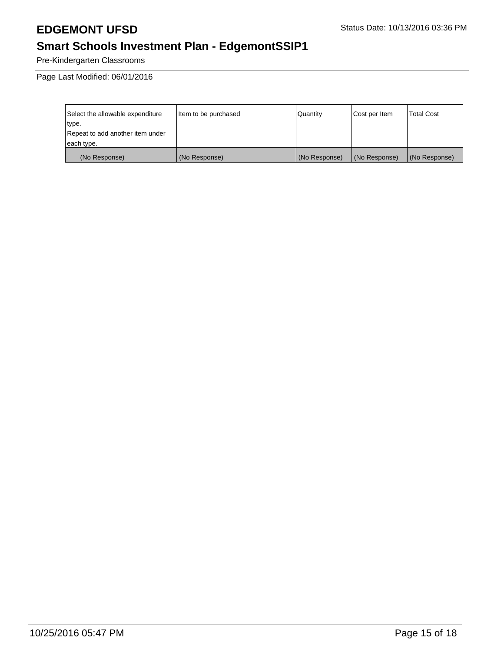# **EDGEMONT UFSD** Status Date: 10/13/2016 03:36 PM

# **Smart Schools Investment Plan - EdgemontSSIP1**

Pre-Kindergarten Classrooms

Page Last Modified: 06/01/2016

| Select the allowable expenditure | Item to be purchased | Quantity      | Cost per Item | Total Cost    |
|----------------------------------|----------------------|---------------|---------------|---------------|
| type.                            |                      |               |               |               |
| Repeat to add another item under |                      |               |               |               |
| each type.                       |                      |               |               |               |
| (No Response)                    | (No Response)        | (No Response) | (No Response) | (No Response) |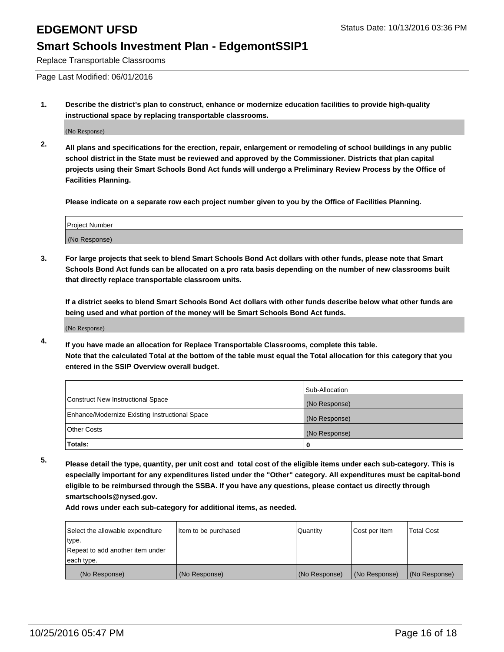Replace Transportable Classrooms

Page Last Modified: 06/01/2016

**1. Describe the district's plan to construct, enhance or modernize education facilities to provide high-quality instructional space by replacing transportable classrooms.**

(No Response)

**2. All plans and specifications for the erection, repair, enlargement or remodeling of school buildings in any public school district in the State must be reviewed and approved by the Commissioner. Districts that plan capital projects using their Smart Schools Bond Act funds will undergo a Preliminary Review Process by the Office of Facilities Planning.**

**Please indicate on a separate row each project number given to you by the Office of Facilities Planning.**

| Project Number |  |
|----------------|--|
| (No Response)  |  |

**3. For large projects that seek to blend Smart Schools Bond Act dollars with other funds, please note that Smart Schools Bond Act funds can be allocated on a pro rata basis depending on the number of new classrooms built that directly replace transportable classroom units.**

**If a district seeks to blend Smart Schools Bond Act dollars with other funds describe below what other funds are being used and what portion of the money will be Smart Schools Bond Act funds.**

(No Response)

**4. If you have made an allocation for Replace Transportable Classrooms, complete this table. Note that the calculated Total at the bottom of the table must equal the Total allocation for this category that you entered in the SSIP Overview overall budget.**

|                                                | Sub-Allocation |
|------------------------------------------------|----------------|
| Construct New Instructional Space              | (No Response)  |
| Enhance/Modernize Existing Instructional Space | (No Response)  |
| Other Costs                                    | (No Response)  |
| Totals:                                        | 0              |

**5. Please detail the type, quantity, per unit cost and total cost of the eligible items under each sub-category. This is especially important for any expenditures listed under the "Other" category. All expenditures must be capital-bond eligible to be reimbursed through the SSBA. If you have any questions, please contact us directly through smartschools@nysed.gov.**

| Select the allowable expenditure | Item to be purchased | Quantity      | Cost per Item | Total Cost    |
|----------------------------------|----------------------|---------------|---------------|---------------|
| type.                            |                      |               |               |               |
| Repeat to add another item under |                      |               |               |               |
| each type.                       |                      |               |               |               |
| (No Response)                    | (No Response)        | (No Response) | (No Response) | (No Response) |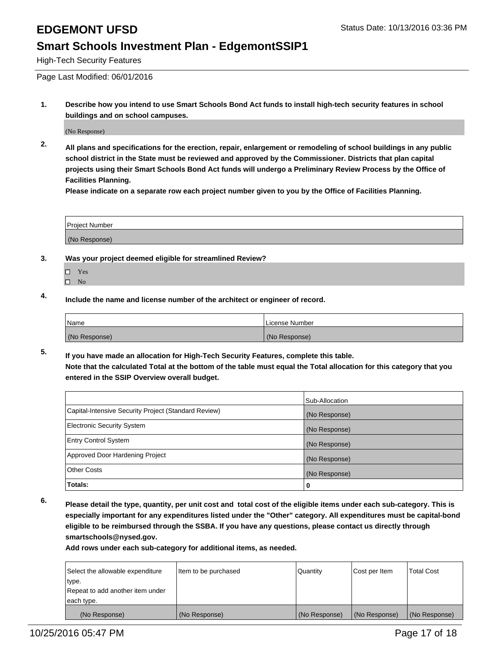High-Tech Security Features

Page Last Modified: 06/01/2016

**1. Describe how you intend to use Smart Schools Bond Act funds to install high-tech security features in school buildings and on school campuses.**

(No Response)

**2. All plans and specifications for the erection, repair, enlargement or remodeling of school buildings in any public school district in the State must be reviewed and approved by the Commissioner. Districts that plan capital projects using their Smart Schools Bond Act funds will undergo a Preliminary Review Process by the Office of Facilities Planning.** 

**Please indicate on a separate row each project number given to you by the Office of Facilities Planning.**

| <b>Project Number</b> |  |
|-----------------------|--|
| (No Response)         |  |

- **3. Was your project deemed eligible for streamlined Review?**
	- □ Yes
	- $\square$  No
- **4. Include the name and license number of the architect or engineer of record.**

| Name          | License Number |
|---------------|----------------|
| (No Response) | (No Response)  |

**5. If you have made an allocation for High-Tech Security Features, complete this table. Note that the calculated Total at the bottom of the table must equal the Total allocation for this category that you entered in the SSIP Overview overall budget.**

|                                                      | Sub-Allocation |
|------------------------------------------------------|----------------|
| Capital-Intensive Security Project (Standard Review) | (No Response)  |
| <b>Electronic Security System</b>                    | (No Response)  |
| <b>Entry Control System</b>                          | (No Response)  |
| Approved Door Hardening Project                      | (No Response)  |
| <b>Other Costs</b>                                   | (No Response)  |
| Totals:                                              | 0              |

**6. Please detail the type, quantity, per unit cost and total cost of the eligible items under each sub-category. This is especially important for any expenditures listed under the "Other" category. All expenditures must be capital-bond eligible to be reimbursed through the SSBA. If you have any questions, please contact us directly through smartschools@nysed.gov.**

| Select the allowable expenditure | Item to be purchased | Quantity      | Cost per Item | <b>Total Cost</b> |
|----------------------------------|----------------------|---------------|---------------|-------------------|
| type.                            |                      |               |               |                   |
| Repeat to add another item under |                      |               |               |                   |
| each type.                       |                      |               |               |                   |
| (No Response)                    | (No Response)        | (No Response) | (No Response) | (No Response)     |